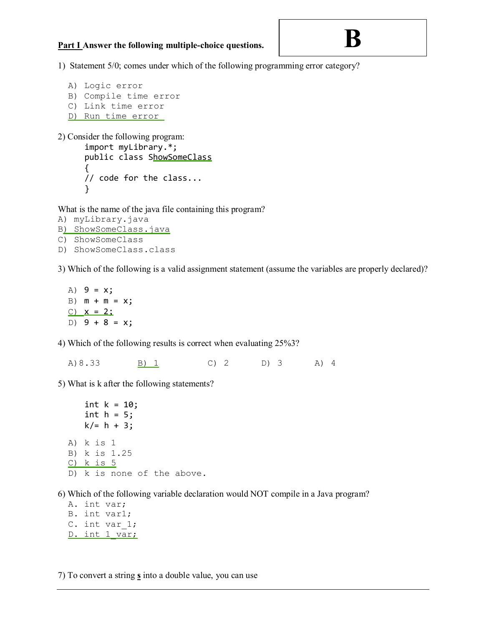## **Part I Answer the following multiple-choice questions.**

## **B**

1) Statement 5/0; comes under which of the following programming error category?

```
A) Logic error 
B) Compile time error 
C) Link time error 
D) Run time error
```
2) Consider the following program:

```
import myLibrary.*; 
public class ShowSomeClass 
{ 
// code for the class... 
}
```
What is the name of the java file containing this program?

```
A) myLibrary.java 
B) ShowSomeClass.java 
C) ShowSomeClass 
D) ShowSomeClass.class
```
3) Which of the following is a valid assignment statement (assume the variables are properly declared)?

A) 9 = x; B)  $m + m = x;$  $C)$   $X = 2$ ; D)  $9 + 8 = x$ ;

4) Which of the following results is correct when evaluating 25%3?

A)8.33 B) 1 C) 2 D) 3 A) 4

5) What is k after the following statements?

int  $k = 10$ ; int  $h = 5$ ;  $k/ = h + 3;$ A) k is 1 B) k is 1.25 C) k is 5 D) k is none of the above.

6) Which of the following variable declaration would NOT compile in a Java program?

A. int var; B. int var1; C. int var 1; D. int 1 var;

7) To convert a string **s** into a double value, you can use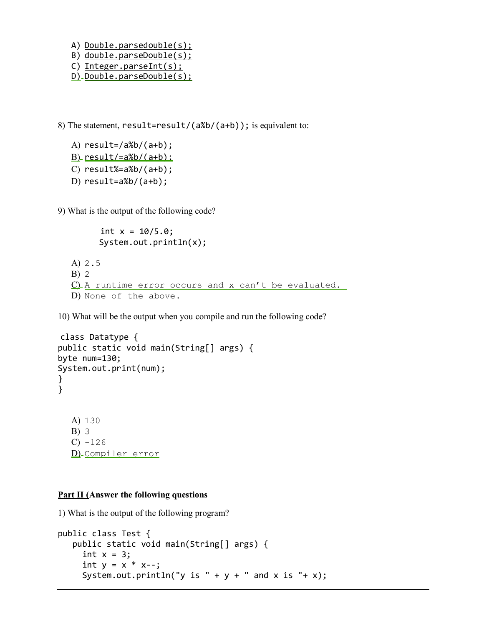- A) Double.parsedouble(s);
- B) double.parseDouble(s);
- C) Integer.parseInt(s);
- D) Double.parseDouble(s);

8) The statement, result=result/(a%b/(a+b)); is equivalent to:

```
A) result=/a\%b/(a+b);B) result/=a%b/(a+b);
C) result%=a%b/(a+b);
D) result=a\&b/(a+b);
```
9) What is the output of the following code?

```
int x = 10/5.0;
 System.out.println(x);
```

```
A) 2.5 
B) 2 
C) A runtime error occurs and x can't be evaluated.
D) None of the above.
```
10) What will be the output when you compile and run the following code?

```
class Datatype { 
public static void main(String[] args) { 
byte num=130; 
System.out.print(num); 
} 
} 
  A) 130 
  B) 3 
  C) -126D) Compiler error
```
## **Part II (Answer the following questions**

1) What is the output of the following program?

```
public class Test { 
    public static void main(String[] args) { 
     int x = 3;
     int y = x * x--;System.out.println("y is " + y + " and x is "+ x);
```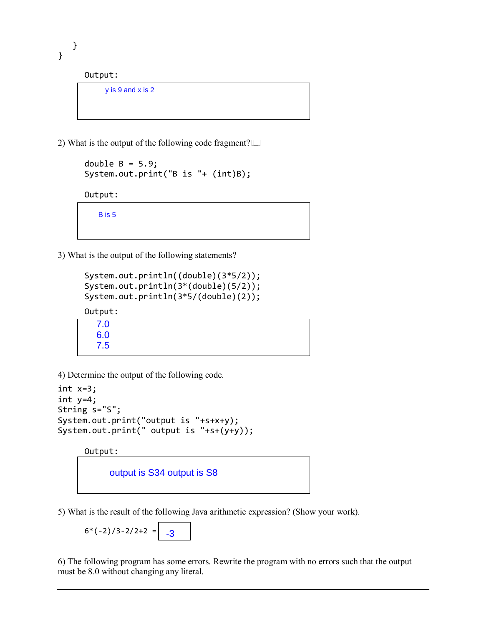}

}

Output:

y is 9 and x is 2

2) What is the output of the following code fragment? $\Box$ 

```
double B = 5.9;
 System.out.print("B is "+ (int)B);
```
Output:

B is 5

3) What is the output of the following statements?

```
System.out.println((double)(3*5/2)); 
System.out.println(3*(double)(5/2)); 
System.out.println(3*5/(double)(2));
```
Output:

```
7.0
6.0
7.5
```
4) Determine the output of the following code.

```
int x=3; 
int y=4; 
String s="S"; 
System.out.print("output is "+s+x+y); 
System.out.print(" output is "+s+(y+y));
```
Output:



5) What is the result of the following Java arithmetic expression? (Show your work).

$$
6*(-2)/3-2/2+2 = -3
$$

6) The following program has some errors. Rewrite the program with no errors such that the output must be 8.0 without changing any literal.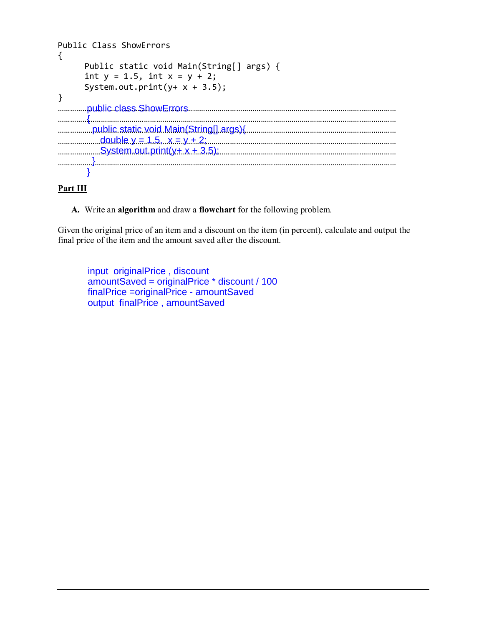| Public Class ShowErrors                                                                                            |
|--------------------------------------------------------------------------------------------------------------------|
| Public static void Main(String[] args) {<br>int $y = 1.5$ , int $x = y + 2$ ;<br>System.out.print( $y+ x + 3.5$ ); |
| public class ShowErrors                                                                                            |
| public.static.void.Main(String[].args){<br>double $y = 1.5$ , $x = y + 2$ ;                                        |
|                                                                                                                    |
|                                                                                                                    |

## **Part III**

**A.** Write an **algorithm** and draw a **flowchart** for the following problem.

Given the original price of an item and a discount on the item (in percent), calculate and output the final price of the item and the amount saved after the discount.

input originalPrice , discount amountSaved = originalPrice \* discount / 100 finalPrice =originalPrice - amountSaved output finalPrice , amountSaved